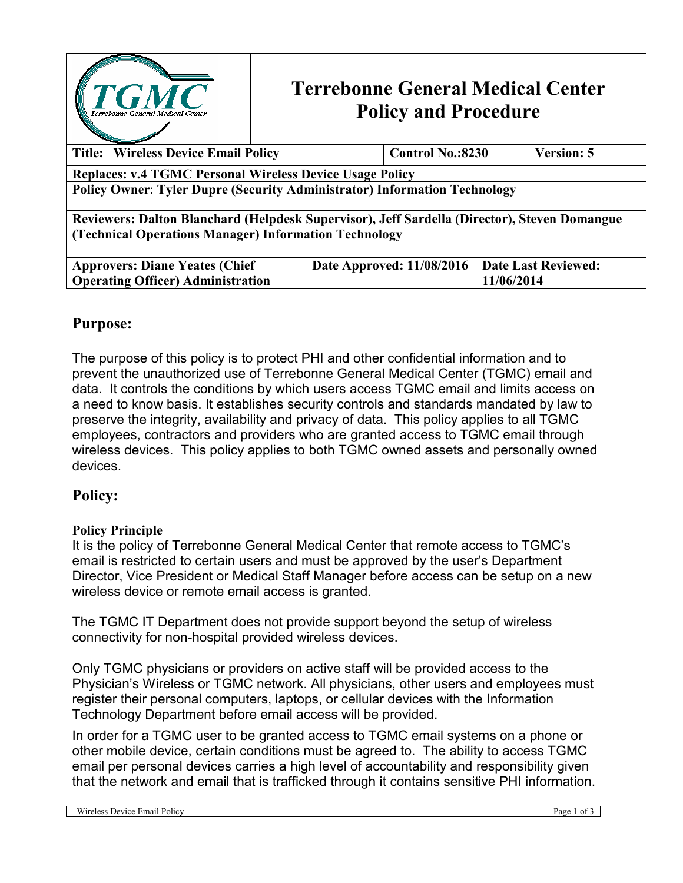

# **Terrebonne General Medical Center Policy and Procedure**

| <b>Title: Wireless Device Email Policy</b>                                                                                                            | <b>Control No.:8230</b>   | <b>Version: 5</b>   |  |  |  |
|-------------------------------------------------------------------------------------------------------------------------------------------------------|---------------------------|---------------------|--|--|--|
| <b>Replaces: v.4 TGMC Personal Wireless Device Usage Policy</b>                                                                                       |                           |                     |  |  |  |
| <b>Policy Owner: Tyler Dupre (Security Administrator) Information Technology</b>                                                                      |                           |                     |  |  |  |
| Reviewers: Dalton Blanchard (Helpdesk Supervisor), Jeff Sardella (Director), Steven Domangue<br>(Technical Operations Manager) Information Technology |                           |                     |  |  |  |
| <b>Approvers: Diane Yeates (Chief)</b>                                                                                                                | Date Approved: 11/08/2016 | Date Last Reviewed: |  |  |  |
| <b>Operating Officer) Administration</b>                                                                                                              |                           | 11/06/2014          |  |  |  |

## **Purpose:**

The purpose of this policy is to protect PHI and other confidential information and to prevent the unauthorized use of Terrebonne General Medical Center (TGMC) email and data. It controls the conditions by which users access TGMC email and limits access on a need to know basis. It establishes security controls and standards mandated by law to preserve the integrity, availability and privacy of data. This policy applies to all TGMC employees, contractors and providers who are granted access to TGMC email through wireless devices. This policy applies to both TGMC owned assets and personally owned devices.

## **Policy:**

#### **Policy Principle**

It is the policy of Terrebonne General Medical Center that remote access to TGMC's email is restricted to certain users and must be approved by the user's Department Director, Vice President or Medical Staff Manager before access can be setup on a new wireless device or remote email access is granted.

The TGMC IT Department does not provide support beyond the setup of wireless connectivity for non-hospital provided wireless devices.

Only TGMC physicians or providers on active staff will be provided access to the Physician's Wireless or TGMC network. All physicians, other users and employees must register their personal computers, laptops, or cellular devices with the Information Technology Department before email access will be provided.

In order for a TGMC user to be granted access to TGMC email systems on a phone or other mobile device, certain conditions must be agreed to. The ability to access TGMC email per personal devices carries a high level of accountability and responsibility given that the network and email that is trafficked through it contains sensitive PHI information.

| -<br>Email<br>Wireless<br>Policy<br>l <sub>0</sub><br>νιс∈<br>- 170<br>*V 13 | Page |
|------------------------------------------------------------------------------|------|
|                                                                              |      |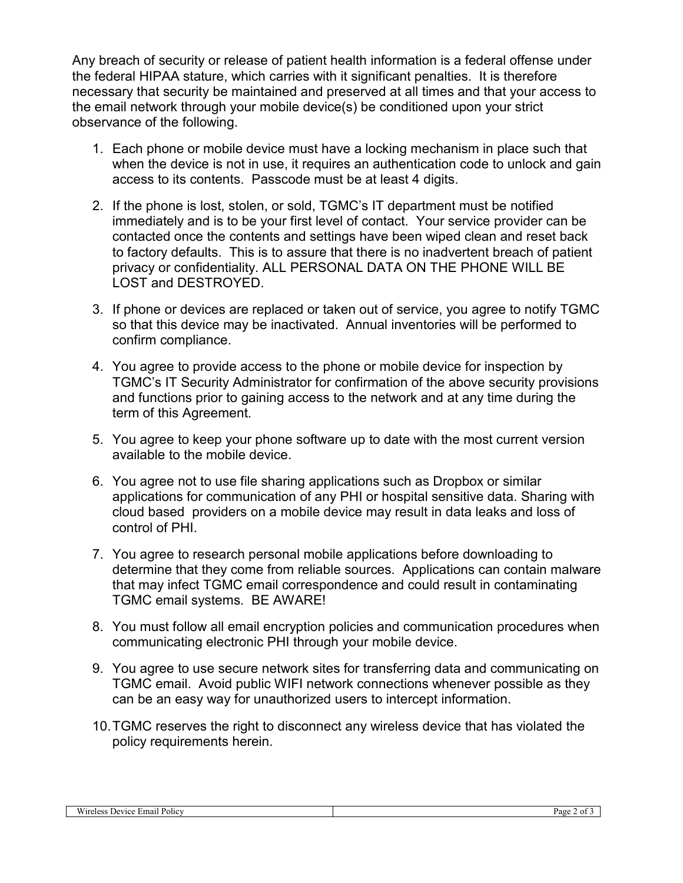Any breach of security or release of patient health information is a federal offense under the federal HIPAA stature, which carries with it significant penalties. It is therefore necessary that security be maintained and preserved at all times and that your access to the email network through your mobile device(s) be conditioned upon your strict observance of the following.

- 1. Each phone or mobile device must have a locking mechanism in place such that when the device is not in use, it requires an authentication code to unlock and gain access to its contents. Passcode must be at least 4 digits.
- 2. If the phone is lost, stolen, or sold, TGMC's IT department must be notified immediately and is to be your first level of contact. Your service provider can be contacted once the contents and settings have been wiped clean and reset back to factory defaults. This is to assure that there is no inadvertent breach of patient privacy or confidentiality. ALL PERSONAL DATA ON THE PHONE WILL BE LOST and DESTROYED.
- 3. If phone or devices are replaced or taken out of service, you agree to notify TGMC so that this device may be inactivated. Annual inventories will be performed to confirm compliance.
- 4. You agree to provide access to the phone or mobile device for inspection by TGMC's IT Security Administrator for confirmation of the above security provisions and functions prior to gaining access to the network and at any time during the term of this Agreement.
- 5. You agree to keep your phone software up to date with the most current version available to the mobile device.
- 6. You agree not to use file sharing applications such as Dropbox or similar applications for communication of any PHI or hospital sensitive data. Sharing with cloud based providers on a mobile device may result in data leaks and loss of control of PHI.
- 7. You agree to research personal mobile applications before downloading to determine that they come from reliable sources. Applications can contain malware that may infect TGMC email correspondence and could result in contaminating TGMC email systems. BE AWARE!
- 8. You must follow all email encryption policies and communication procedures when communicating electronic PHI through your mobile device.
- 9. You agree to use secure network sites for transferring data and communicating on TGMC email. Avoid public WIFI network connections whenever possible as they can be an easy way for unauthorized users to intercept information.
- 10. TGMC reserves the right to disconnect any wireless device that has violated the policy requirements herein.

| Policy<br>Emai.<br>Wireles<br><b>PEVICL</b> | Page.<br>. വ |
|---------------------------------------------|--------------|